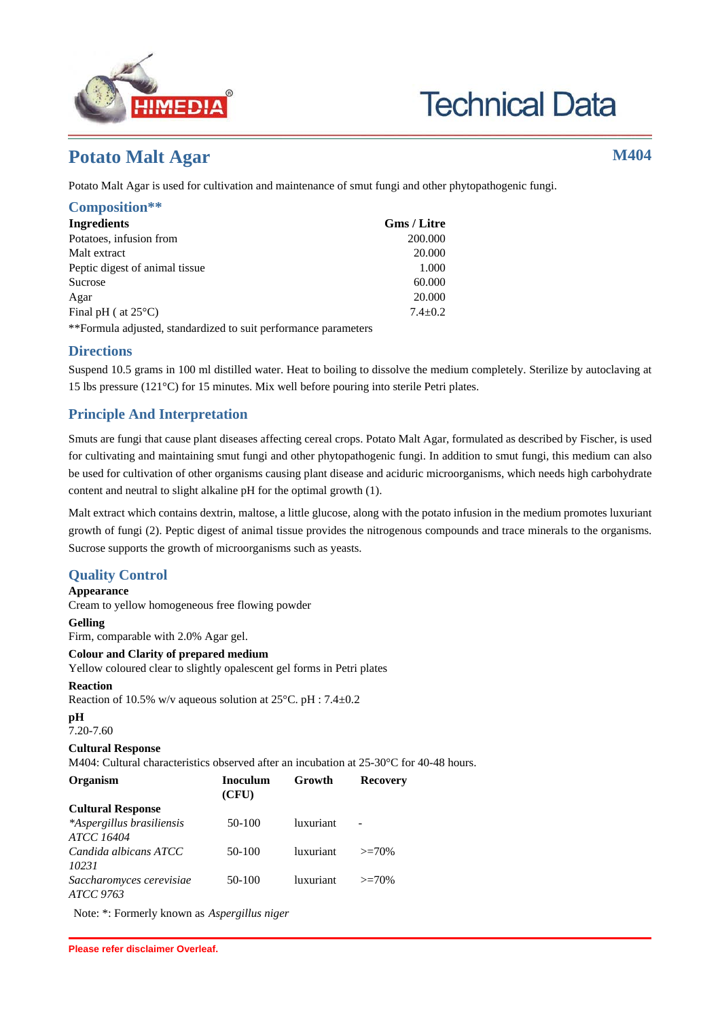

# **Technical Data**

## **Potato Malt Agar M404**

Potato Malt Agar is used for cultivation and maintenance of smut fungi and other phytopathogenic fungi.

| Composition**                   |                    |
|---------------------------------|--------------------|
| <b>Ingredients</b>              | <b>Gms</b> / Litre |
| Potatoes, infusion from         | 200.000            |
| Malt extract                    | 20.000             |
| Peptic digest of animal tissue. | 1.000              |
| Sucrose                         | 60.000             |
| Agar                            | 20.000             |
| Final pH ( at $25^{\circ}$ C)   | $7.4 + 0.2$        |
|                                 |                    |

\*\*Formula adjusted, standardized to suit performance parameters

### **Directions**

Suspend 10.5 grams in 100 ml distilled water. Heat to boiling to dissolve the medium completely. Sterilize by autoclaving at 15 lbs pressure (121°C) for 15 minutes. Mix well before pouring into sterile Petri plates.

## **Principle And Interpretation**

Smuts are fungi that cause plant diseases affecting cereal crops. Potato Malt Agar, formulated as described by Fischer, is used for cultivating and maintaining smut fungi and other phytopathogenic fungi. In addition to smut fungi, this medium can also be used for cultivation of other organisms causing plant disease and aciduric microorganisms, which needs high carbohydrate content and neutral to slight alkaline pH for the optimal growth (1).

Malt extract which contains dextrin, maltose, a little glucose, along with the potato infusion in the medium promotes luxuriant growth of fungi (2). Peptic digest of animal tissue provides the nitrogenous compounds and trace minerals to the organisms. Sucrose supports the growth of microorganisms such as yeasts.

## **Quality Control**

**Appearance**

Cream to yellow homogeneous free flowing powder

**Gelling**

Firm, comparable with 2.0% Agar gel.

## **Colour and Clarity of prepared medium**

Yellow coloured clear to slightly opalescent gel forms in Petri plates

#### **Reaction**

Reaction of 10.5% w/v aqueous solution at 25°C. pH : 7.4±0.2

**pH**

## 7.20-7.60

**Cultural Response**

M404: Cultural characteristics observed after an incubation at 25-30 °C for 40-48 hours.

| Organism                                       | Inoculum<br>(CFU) | Growth           | <b>Recovery</b> |
|------------------------------------------------|-------------------|------------------|-----------------|
| <b>Cultural Response</b>                       |                   |                  |                 |
| *Aspergillus brasiliensis<br><i>ATCC 16404</i> | 50-100            | luxuriant        |                 |
| Candida albicans ATCC<br>10231                 | 50-100            | <i>luxuriant</i> | $>=70%$         |
| Saccharomyces cerevisiae<br>ATCC 9763          | 50-100            | luxuriant        | $>=70%$         |

Note: \*: Formerly known as Aspergillus niger